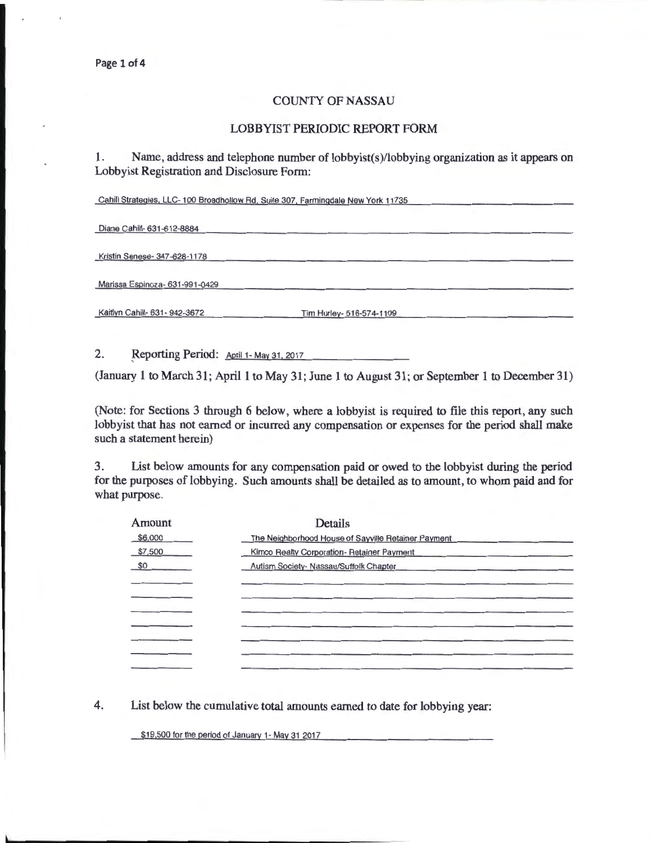## COUNTY OF NASSAU

## LOBBYIST PERIODIC REPORT FORM

1. Name, address and telephone number of lobbyist(s)/lobbying organization as it appears on Lobbyist Registration and Disclosure Form:

Cahill Strategies, LLC- 100 Broadhollow Rd, Suite 307, Farmingdale New York 11735

Diane Cahill- 631-612-8884

Kristin Senese- 347-628-1178

Marissa Espinoza- 631-991-0429

Kaitlyn Cahill- 631-942-3672 Tim Hurley- 516-574-1109

2. Reporting Period: April 1- May 31, 2017

(January 1 to March 31; April 1 to May 31; June 1 to August 31; or September 1 to December 31)

(Note: for Sections 3 through 6 below, where a lobbyist is required to file this report, any such lobbyist that has not earned or incurred any compensation or expenses for the period shall make such a statement herein)

3. List below amounts for any compensation paid or owed to the lobbyist during the period for the purposes of lobbying. Such amounts shall be detailed as to amount, to whom paid and for what purpose.

| Amount  | <b>Details</b>                                                                 |  |
|---------|--------------------------------------------------------------------------------|--|
| \$6,000 | The Neighborhood House of Sayville Retainer Payment                            |  |
| \$7,500 | Kimco Realty Corporation-Retainer Payment                                      |  |
| \$0     | Autism Society- Nassau/Suffolk Chapter<br><b>Service Contractor Contractor</b> |  |
|         |                                                                                |  |
|         |                                                                                |  |
|         |                                                                                |  |
|         |                                                                                |  |
|         |                                                                                |  |
|         |                                                                                |  |
|         |                                                                                |  |

4. List below the cumulative total amounts earned to date for lobbying year:

\$19,500 for the period of January 1- May 31 2017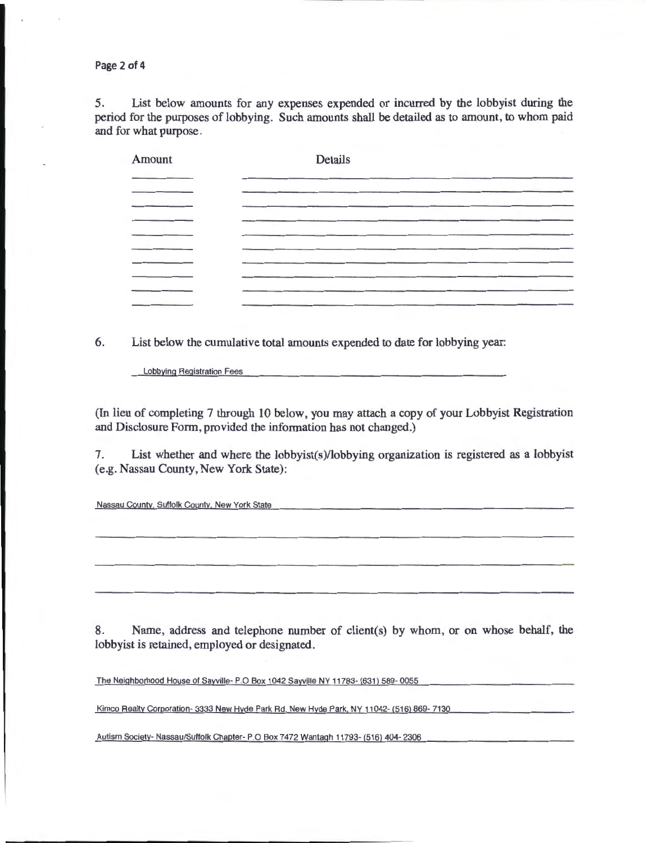Page 2 of 4

5. List below amounts for any expenses expended or incurred by the lobbyist during the period for the purposes of lobbying. Such amounts shall be detailed as to amount, to whom paid and for what purpose.

| Amount | <b>Details</b> |  |  |  |
|--------|----------------|--|--|--|
|        |                |  |  |  |
|        |                |  |  |  |
|        |                |  |  |  |
|        |                |  |  |  |
|        |                |  |  |  |
|        |                |  |  |  |
|        |                |  |  |  |

6. List below the cumulative total amounts expended to date for lobbying year:

Lobbying Registration Fees

(In lieu of completing 7 through 10 below, you may attach a copy of your Lobbyist Registration and Disclosure Form, provided the information has not changed.)

7. List whether and where the lobbyist(s)/lobbying organization is registered as a lobbyist (e.g. Nassau County, New York State):

Nassau County. Suffolk County. New York State

8. Name, address and telephone number of client(s) by whom, or on whose behalf, the lobbyist is retained, employed or designated.

The Neighborhood House of Sayville- P.O Box 1042 Sayville NY 11783- (631) 589- 0055

Kimco Realty Corporation- 3333 New Hyde Park Rd. New Hyde Park. NY 11042- (516) 869-7130

Autism Society- Nassau/Suffolk Chapter- P.O Box 7472 Wantagh 11793- (516) 404-2306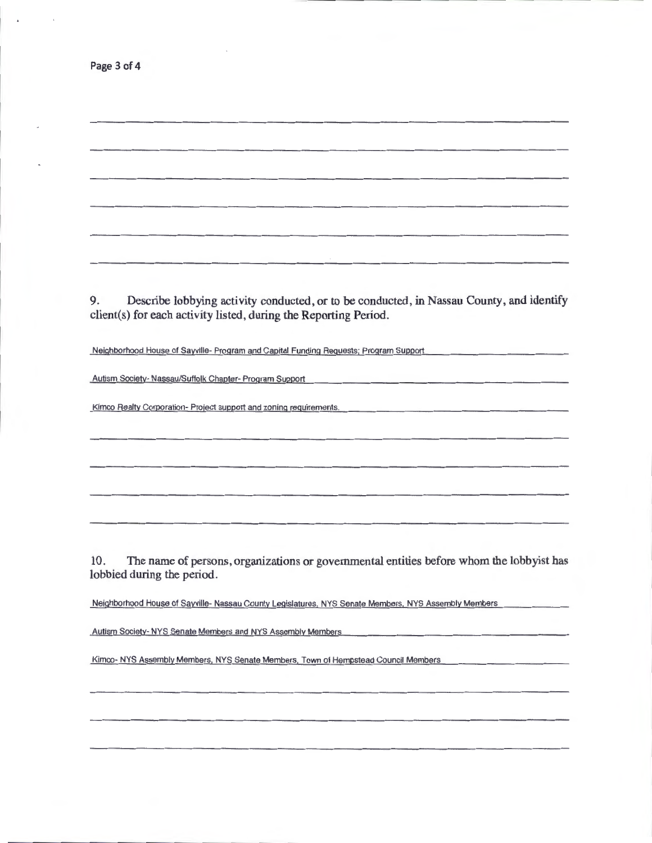9. Describe lobbying activity conducted, or to be conducted, in Nassau County, and identify client(s) for each activity listed, during the Reporting Period.

Neighborhood House of Sayville· Program and Capital Funding Requests; Program Support

Autism Society· Nassau/Suffolk Chapter- Program Support

Kimco Realty Corporation- Project support and zoning requirements.

10. The name of persons, organizations or governmental entities before whom the lobbyist has lobbied during the period.

Neighborhood House of Sayville- Nassau County Legislatures. NYS Senate Members. NYS Assembly Members

Autism Society- NYS Senate Members and NYS Assembly Members

Kimco- NYS Assembly Members. NYS Senate Members. Town of Hempstead Council Members